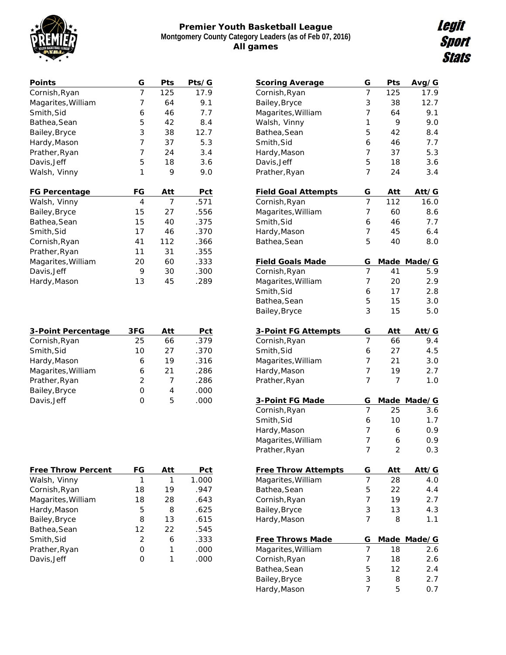

## **Premier Youth Basketball League Montgomery County Category Leaders (as of Feb 07, 2016) All games**

| Points             | G  | Pts | Pts/G |
|--------------------|----|-----|-------|
| Cornish, Ryan      | 7  | 125 | 17.9  |
| Magarites, William | 7  | 64  | 9.1   |
| Smith, Sid         | 6  | 46  | 7.7   |
| Bathea, Sean       | 5  | 42  | 8.4   |
| Bailey,Bryce       | 3  | 38  | 12.7  |
| Hardy, Mason       | 7  | 37  | 5.3   |
| Prather, Ryan      | 7  | 24  | 3.4   |
| Davis, Jeff        | 5  | 18  | 3.6   |
| Walsh, Vinny       | 1  | 9   | 9.0   |
|                    |    |     |       |
|                    |    |     |       |
| FG Percentage      | FG | Att | Pct   |
| Walsh, Vinny       | 4  | 7   | .571  |
| Bailey,Bryce       | 15 | 27  | .556  |
| Bathea,Sean        | 15 | 40  | .375  |
| Smith, Sid         | 17 | 46  | .370  |
| Cornish, Ryan      | 41 | 112 | .366  |
| Prather, Ryan      | 11 | 31  | .355  |
| Magarites, William | 20 | 60  | .333  |
| Davis, Jeff        | 9  | 30  | .300  |
| Hardy, Mason       | 13 | 45  | .289  |

| 3-Point Percentage | 3FG           | Att | Pct  |
|--------------------|---------------|-----|------|
| Cornish, Ryan      | 25            | 66  | .379 |
| Smith, Sid         | 10            | 27  | .370 |
| Hardy, Mason       | 6             | 19  | .316 |
| Magarites, William | 6             | 21  | .286 |
| Prather, Ryan      | $\mathcal{P}$ | 7   | .286 |
| Bailey, Bryce      | Ω             | 4   | .000 |
| Davis, Jeff        | Ω             | 5   | .000 |
|                    |               |     |      |

| Free Throw Percent | FG | Att | Pct   |
|--------------------|----|-----|-------|
| Walsh, Vinny       | 1  | 1   | 1.000 |
| Cornish, Ryan      | 18 | 19  | .947  |
| Magarites, William | 18 | 28  | .643  |
| Hardy, Mason       | 5  | 8   | .625  |
| Bailey, Bryce      | 8  | 13  | .615  |
| Bathea, Sean       | 12 | 22  | .545  |
| Smith, Sid         | 2  | 6   | .333  |
| Prather, Ryan      | Ω  |     | .000  |
| Davis, Jeff        |    |     | .000  |

| <b>Scoring Average</b>              | G              | Pts         | Avg/G       |
|-------------------------------------|----------------|-------------|-------------|
| Cornish, Ryan                       | 7              | 125         | 17.9        |
| Bailey, Bryce                       | 3              | 38          | 12.7        |
| Magarites, William                  | 7              | 64          | 9.1         |
| Walsh, Vinny                        | 1              | 9           | 9.0         |
| Bathea, Sean                        | 5              | 42          | 8.4         |
| Smith, Sid                          | 6              | 46          | 7.7         |
| Hardy, Mason                        | $\overline{7}$ | 37          | 5.3         |
| Davis, Jeff                         | 5              | 18          | 3.6         |
| Prather, Ryan                       | $\overline{7}$ | 24          | 3.4         |
| Field Goal Attempts                 | G              | Att         | Att/G       |
| Cornish, Ryan                       | 7              | 112         | 16.0        |
| Magarites, William                  | 7              | 60          | 8.6         |
| Smith, Sid                          | 6              | 46          | 7.7         |
| Hardy, Mason                        | $\overline{7}$ | 45          | 6.4         |
| Bathea, Sean                        | 5              | 40          | 8.0         |
| Field Goals Made                    | G              | <b>Made</b> | Made/G      |
| Cornish, Ryan                       | 7              | 41          | 5.9         |
| Magarites, William                  | 7              | 20          | 2.9         |
| Smith, Sid                          | 6              | 17          | 2.8         |
| Bathea, Sean                        | 5              | 15          | 3.0         |
| Bailey, Bryce                       | 3              | 15          | 5.0         |
| 3-Point FG Attempts                 | G              | Att         | Att/G       |
| Cornish, Ryan                       | 7              | 66          | 9.4         |
| Smith, Sid                          | 6              | 27          | 4.5         |
| Magarites, William                  | 7              | 21          | 3.0         |
| Hardy, Mason                        | 7              | 19          | 2.7         |
| Prather, Ryan                       | $\overline{7}$ | 7           | 1.0         |
| 3-Point FG Made                     | G              |             | Made Made/G |
| Cornish, Ryan                       | 7              | 25          | 3.6         |
| Smith, Sid                          | 6              | 10          | 1.7         |
| Hardy, Mason                        | 7              | 6           | 0.9         |
|                                     | 7              | 6           |             |
| Magarites, William<br>Prather, Ryan | 7              | 2           | 0.9<br>0.3  |
|                                     |                |             |             |
| Free Throw Attempts                 | G              | Att         | Att/G       |
| Magarites, William                  | 7              | 28          | 4.0         |
| Bathea, Sean                        | 5              | 22          | 4.4         |
| Cornish, Ryan                       | 7              | 19          | 2.7         |
| Bailey, Bryce                       | 3              | 13          | 4.3         |
| Hardy, Mason                        | $\overline{7}$ | 8           | 1.1         |
| Free Throws Made                    | G              | <u>Made</u> | Made/G      |
| Magarites, William                  | 7              | 18          | 2.6         |
| Cornish, Ryan                       | 7              | 18          | 2.6         |
| Bathea, Sean                        | 5              | 12          | 2.4         |
| Bailey, Bryce                       | 3              | 8           | 2.7         |
| Hardy, Mason                        | $\overline{7}$ | 5           | 0.7         |
|                                     |                |             |             |